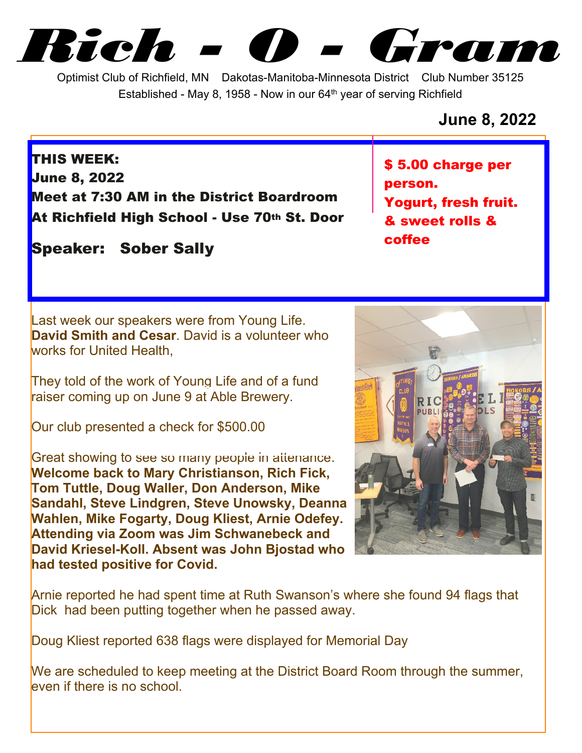*Rich - O - Gram*

Optimist Club of Richfield, MN Dakotas-Manitoba-Minnesota District Club Number 35125 Established - May 8, 1958 - Now in our  $64<sup>th</sup>$  year of serving Richfield

**June 8, 2022**

**THIS WEEK: June 8, 2022 Meet at 7:30 AM in the District Boardroom At Richfield High School - Use 70th St. Door**

**Speaker: Sober Sally**

Last week our speakers were from Young Life. **David Smith and Cesar**. David is a volunteer who works for United Health,

They told of the work of Young Life and of a fund raiser coming up on June 9 at Able Brewery.

Our club presented a check for \$500.00

Great showing to see so many people in attenance. **Welcome back to Mary Christianson, Rich Fick, Tom Tuttle, Doug Waller, Don Anderson, Mike Sandahl, Steve Lindgren, Steve Unowsky, Deanna Wahlen, Mike Fogarty, Doug Kliest, Arnie Odefey. Attending via Zoom was Jim Schwanebeck and David Kriesel-Koll. Absent was John Bjostad who had tested positive for Covid.**

**\$ 5.00 charge per person. Yogurt, fresh fruit. & sweet rolls & coffee**

Arnie reported he had spent time at Ruth Swanson's where she found 94 flags that Dick had been putting together when he passed away.

Doug Kliest reported 638 flags were displayed for Memorial Day

We are scheduled to keep meeting at the District Board Room through the summer, even if there is no school.